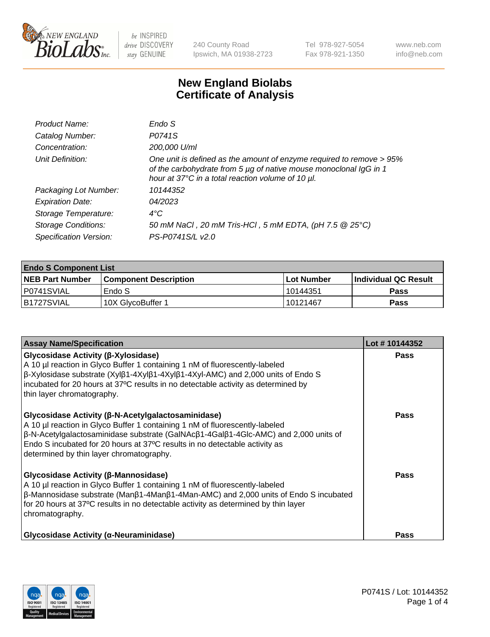

240 County Road Ipswich, MA 01938-2723 Tel 978-927-5054 Fax 978-921-1350 www.neb.com info@neb.com

## **New England Biolabs Certificate of Analysis**

| Product Name:              | Endo S                                                                                                                                                                                         |
|----------------------------|------------------------------------------------------------------------------------------------------------------------------------------------------------------------------------------------|
| Catalog Number:            | P0741S                                                                                                                                                                                         |
| Concentration:             | 200,000 U/ml                                                                                                                                                                                   |
| Unit Definition:           | One unit is defined as the amount of enzyme required to remove > 95%<br>of the carbohydrate from 5 µg of native mouse monoclonal IgG in 1<br>hour at 37°C in a total reaction volume of 10 µl. |
| Packaging Lot Number:      | 10144352                                                                                                                                                                                       |
| <b>Expiration Date:</b>    | 04/2023                                                                                                                                                                                        |
| Storage Temperature:       | $4^{\circ}$ C                                                                                                                                                                                  |
| <b>Storage Conditions:</b> | 50 mM NaCl, 20 mM Tris-HCl, 5 mM EDTA, (pH 7.5 @ 25°C)                                                                                                                                         |
| Specification Version:     | PS-P0741S/L v2.0                                                                                                                                                                               |

| <b>Endo S Component List</b> |                         |              |                             |  |  |
|------------------------------|-------------------------|--------------|-----------------------------|--|--|
| <b>NEB Part Number</b>       | l Component Description | l Lot Number | <b>Individual QC Result</b> |  |  |
| P0741SVIAL                   | Endo S                  | l 10144351   | <b>Pass</b>                 |  |  |
| IB1727SVIAL                  | 10X GlycoBuffer 1       | l 10121467   | Pass                        |  |  |

| <b>Assay Name/Specification</b>                                                                                                                                                                                                                                                                                                                    | Lot #10144352 |
|----------------------------------------------------------------------------------------------------------------------------------------------------------------------------------------------------------------------------------------------------------------------------------------------------------------------------------------------------|---------------|
| Glycosidase Activity (β-Xylosidase)<br>A 10 µl reaction in Glyco Buffer 1 containing 1 nM of fluorescently-labeled<br>β-Xylosidase substrate (Xylβ1-4Xylβ1-4Xylβ1-4Xyl-AMC) and 2,000 units of Endo S<br>incubated for 20 hours at 37°C results in no detectable activity as determined by<br>thin layer chromatography.                           | <b>Pass</b>   |
| Glycosidase Activity (β-N-Acetylgalactosaminidase)<br>A 10 µl reaction in Glyco Buffer 1 containing 1 nM of fluorescently-labeled<br>β-N-Acetylgalactosaminidase substrate (GalNAcβ1-4Galβ1-4Glc-AMC) and 2,000 units of<br>Endo S incubated for 20 hours at 37°C results in no detectable activity as<br>determined by thin layer chromatography. | <b>Pass</b>   |
| Glycosidase Activity (β-Mannosidase)<br>A 10 µl reaction in Glyco Buffer 1 containing 1 nM of fluorescently-labeled<br>$\beta$ -Mannosidase substrate (Man $\beta$ 1-4Man $\beta$ 1-4Man-AMC) and 2,000 units of Endo S incubated<br>for 20 hours at 37°C results in no detectable activity as determined by thin layer<br>chromatography.         | Pass          |
| <b>Glycosidase Activity (α-Neuraminidase)</b>                                                                                                                                                                                                                                                                                                      | <b>Pass</b>   |

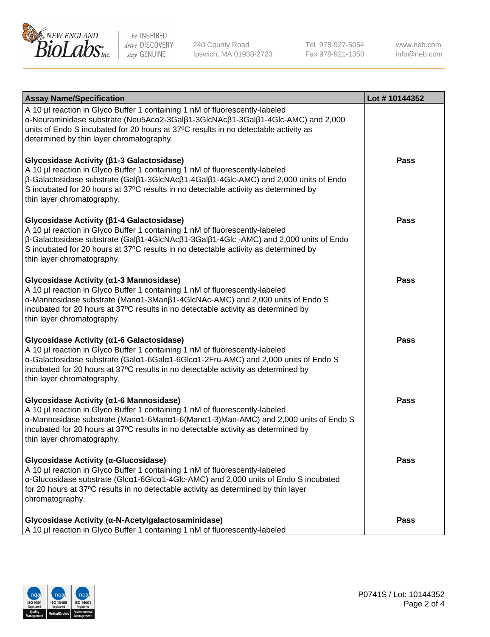

240 County Road Ipswich, MA 01938-2723 Tel 978-927-5054 Fax 978-921-1350 www.neb.com info@neb.com

| <b>Assay Name/Specification</b>                                                                                                                                                                                                                                                                                                                                      | Lot #10144352 |
|----------------------------------------------------------------------------------------------------------------------------------------------------------------------------------------------------------------------------------------------------------------------------------------------------------------------------------------------------------------------|---------------|
| A 10 µl reaction in Glyco Buffer 1 containing 1 nM of fluorescently-labeled<br>α-Neuraminidase substrate (Neu5Acα2-3Galβ1-3GlcNAcβ1-3Galβ1-4Glc-AMC) and 2,000<br>units of Endo S incubated for 20 hours at 37°C results in no detectable activity as<br>determined by thin layer chromatography.                                                                    |               |
| Glycosidase Activity (β1-3 Galactosidase)<br>A 10 µl reaction in Glyco Buffer 1 containing 1 nM of fluorescently-labeled<br>$\beta$ -Galactosidase substrate (Gal $\beta$ 1-3GlcNAc $\beta$ 1-4Gal $\beta$ 1-4Glc-AMC) and 2,000 units of Endo<br>S incubated for 20 hours at 37°C results in no detectable activity as determined by<br>thin layer chromatography.  | <b>Pass</b>   |
| Glycosidase Activity (β1-4 Galactosidase)<br>A 10 µl reaction in Glyco Buffer 1 containing 1 nM of fluorescently-labeled<br>$\beta$ -Galactosidase substrate (Gal $\beta$ 1-4GlcNAc $\beta$ 1-3Gal $\beta$ 1-4Glc -AMC) and 2,000 units of Endo<br>S incubated for 20 hours at 37°C results in no detectable activity as determined by<br>thin layer chromatography. | <b>Pass</b>   |
| Glycosidase Activity (α1-3 Mannosidase)<br>A 10 µl reaction in Glyco Buffer 1 containing 1 nM of fluorescently-labeled<br>α-Mannosidase substrate (Μanα1-3Μanβ1-4GlcNAc-AMC) and 2,000 units of Endo S<br>incubated for 20 hours at 37°C results in no detectable activity as determined by<br>thin layer chromatography.                                            | Pass          |
| Glycosidase Activity (α1-6 Galactosidase)<br>A 10 µl reaction in Glyco Buffer 1 containing 1 nM of fluorescently-labeled<br>α-Galactosidase substrate (Galα1-6Galα1-6Glcα1-2Fru-AMC) and 2,000 units of Endo S<br>incubated for 20 hours at 37°C results in no detectable activity as determined by<br>thin layer chromatography.                                    | <b>Pass</b>   |
| Glycosidase Activity (α1-6 Mannosidase)<br>A 10 µl reaction in Glyco Buffer 1 containing 1 nM of fluorescently-labeled<br>α-Mannosidase substrate (Μanα1-6Μanα1-6(Μanα1-3)Man-AMC) and 2,000 units of Endo S<br>incubated for 20 hours at 37°C results in no detectable activity as determined by<br>thin layer chromatography.                                      | <b>Pass</b>   |
| Glycosidase Activity (α-Glucosidase)<br>A 10 µl reaction in Glyco Buffer 1 containing 1 nM of fluorescently-labeled<br>α-Glucosidase substrate (Glcα1-6Glcα1-4Glc-AMC) and 2,000 units of Endo S incubated<br>for 20 hours at 37°C results in no detectable activity as determined by thin layer<br>chromatography.                                                  | <b>Pass</b>   |
| Glycosidase Activity (α-N-Acetylgalactosaminidase)<br>A 10 µl reaction in Glyco Buffer 1 containing 1 nM of fluorescently-labeled                                                                                                                                                                                                                                    | <b>Pass</b>   |

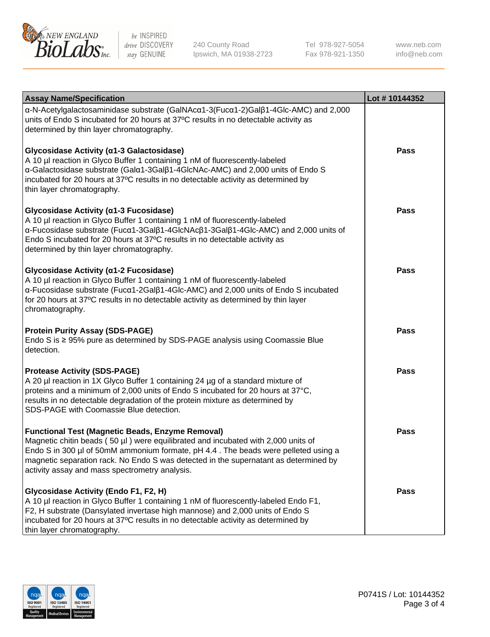

240 County Road Ipswich, MA 01938-2723 Tel 978-927-5054 Fax 978-921-1350

www.neb.com info@neb.com

| <b>Assay Name/Specification</b>                                                                                                                                                                                                                                                                                                                                              | Lot #10144352 |
|------------------------------------------------------------------------------------------------------------------------------------------------------------------------------------------------------------------------------------------------------------------------------------------------------------------------------------------------------------------------------|---------------|
| α-N-Acetylgalactosaminidase substrate (GalNAcα1-3(Fucα1-2)Galβ1-4Glc-AMC) and 2,000<br>units of Endo S incubated for 20 hours at 37°C results in no detectable activity as<br>determined by thin layer chromatography.                                                                                                                                                       |               |
| Glycosidase Activity (α1-3 Galactosidase)<br>A 10 µl reaction in Glyco Buffer 1 containing 1 nM of fluorescently-labeled<br>α-Galactosidase substrate (Galα1-3Galβ1-4GlcNAc-AMC) and 2,000 units of Endo S<br>incubated for 20 hours at 37°C results in no detectable activity as determined by<br>thin layer chromatography.                                                | Pass          |
| Glycosidase Activity (α1-3 Fucosidase)<br>A 10 µl reaction in Glyco Buffer 1 containing 1 nM of fluorescently-labeled<br>α-Fucosidase substrate (Fucα1-3Galβ1-4GlcNAcβ1-3Galβ1-4Glc-AMC) and 2,000 units of<br>Endo S incubated for 20 hours at 37°C results in no detectable activity as<br>determined by thin layer chromatography.                                        | Pass          |
| Glycosidase Activity (α1-2 Fucosidase)<br>A 10 µl reaction in Glyco Buffer 1 containing 1 nM of fluorescently-labeled<br>α-Fucosidase substrate (Fucα1-2Galβ1-4Glc-AMC) and 2,000 units of Endo S incubated<br>for 20 hours at 37°C results in no detectable activity as determined by thin layer<br>chromatography.                                                         | Pass          |
| <b>Protein Purity Assay (SDS-PAGE)</b><br>Endo S is $\geq$ 95% pure as determined by SDS-PAGE analysis using Coomassie Blue<br>detection.                                                                                                                                                                                                                                    | <b>Pass</b>   |
| <b>Protease Activity (SDS-PAGE)</b><br>A 20 µl reaction in 1X Glyco Buffer 1 containing 24 µg of a standard mixture of<br>proteins and a minimum of 2,000 units of Endo S incubated for 20 hours at 37°C,<br>results in no detectable degradation of the protein mixture as determined by<br>SDS-PAGE with Coomassie Blue detection.                                         | <b>Pass</b>   |
| <b>Functional Test (Magnetic Beads, Enzyme Removal)</b><br>Magnetic chitin beads (50 µl) were equilibrated and incubated with 2,000 units of<br>Endo S in 300 µl of 50mM ammonium formate, pH 4.4. The beads were pelleted using a<br>magnetic separation rack. No Endo S was detected in the supernatant as determined by<br>activity assay and mass spectrometry analysis. | Pass          |
| Glycosidase Activity (Endo F1, F2, H)<br>A 10 µl reaction in Glyco Buffer 1 containing 1 nM of fluorescently-labeled Endo F1,<br>F2, H substrate (Dansylated invertase high mannose) and 2,000 units of Endo S<br>incubated for 20 hours at 37°C results in no detectable activity as determined by<br>thin layer chromatography.                                            | Pass          |